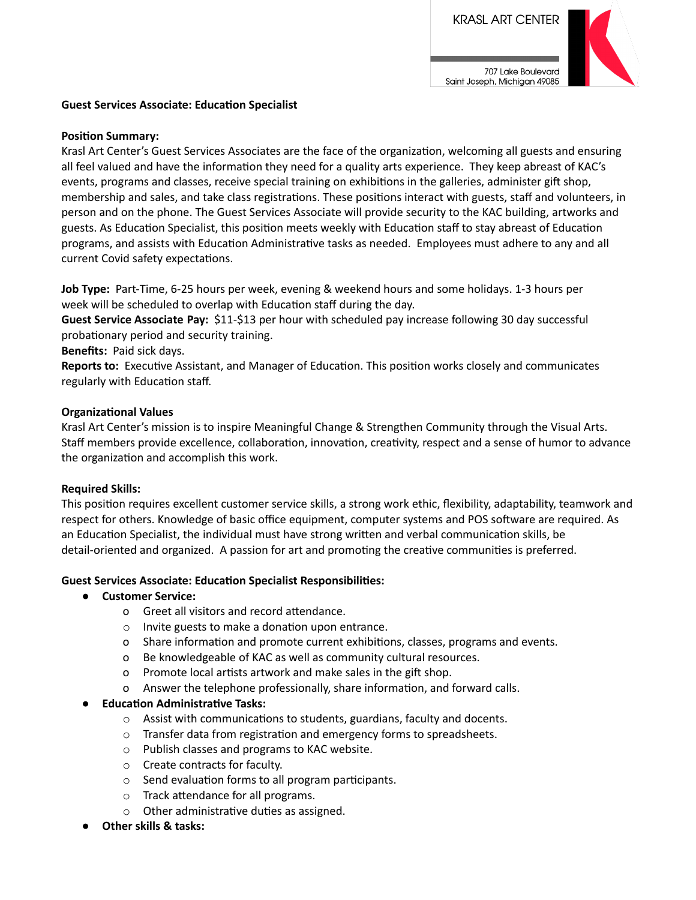

#### **Guest Services Associate: Education Specialist**

#### **Position Summary:**

Krasl Art Center's Guest Services Associates are the face of the organization, welcoming all guests and ensuring all feel valued and have the information they need for a quality arts experience. They keep abreast of KAC's events, programs and classes, receive special training on exhibitions in the galleries, administer gift shop, membership and sales, and take class registrations. These positions interact with guests, staff and volunteers, in person and on the phone. The Guest Services Associate will provide security to the KAC building, artworks and guests. As Education Specialist, this position meets weekly with Education staff to stay abreast of Education programs, and assists with Education Administrative tasks as needed. Employees must adhere to any and all current Covid safety expectations.

**Job Type:** Part-Time, 6-25 hours per week, evening & weekend hours and some holidays. 1-3 hours per week will be scheduled to overlap with Education staff during the day.

**Guest Service Associate Pay:** \$11-\$13 per hour with scheduled pay increase following 30 day successful probationary period and security training.

**Benefits:** Paid sick days.

**Reports to:** Executive Assistant, and Manager of Education. This position works closely and communicates regularly with Education staff.

#### **Organizational Values**

Krasl Art Center's mission is to inspire Meaningful Change & Strengthen Community through the Visual Arts. Staff members provide excellence, collaboration, innovation, creativity, respect and a sense of humor to advance the organization and accomplish this work.

#### **Required Skills:**

This position requires excellent customer service skills, a strong work ethic, flexibility, adaptability, teamwork and respect for others. Knowledge of basic office equipment, computer systems and POS software are required. As an Education Specialist, the individual must have strong written and verbal communication skills, be detail-oriented and organized. A passion for art and promoting the creative communities is preferred.

## **Guest Services Associate: Educaon Specialist Responsibilies:**

#### **● Customer Service:**

- o Greet all visitors and record attendance.
- $\circ$  Invite guests to make a donation upon entrance.
- o Share information and promote current exhibitions, classes, programs and events.
- o Be knowledgeable of KAC as well as community cultural resources.
- o Promote local artists artwork and make sales in the gift shop.
- o Answer the telephone professionally, share information, and forward calls.

## *<u>Education Administrative Tasks:</u>*

- $\circ$  Assist with communications to students, guardians, faculty and docents.
- $\circ$  Transfer data from registration and emergency forms to spreadsheets.
- o Publish classes and programs to KAC website.
- o Create contracts for faculty.
- $\circ$  Send evaluation forms to all program participants.
- $\circ$  Track attendance for all programs.
- $\circ$  Other administrative duties as assigned.
- **● Other skills & tasks:**